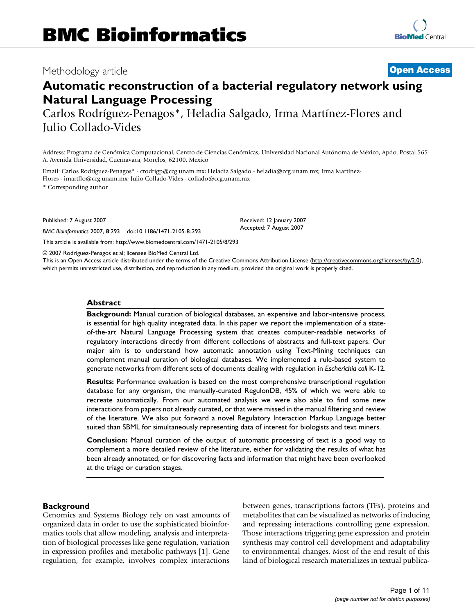# Methodology article **[Open Access](http://www.biomedcentral.com/info/about/charter/)**

# **Automatic reconstruction of a bacterial regulatory network using Natural Language Processing**

Carlos Rodríguez-Penagos\*, Heladia Salgado, Irma Martínez-Flores and Julio Collado-Vides

Address: Programa de Genómica Computacional, Centro de Ciencias Genómicas, Universidad Nacional Autónoma de México, Apdo. Postal 565- A, Avenida Universidad, Cuernavaca, Morelos, 62100, Mexico

Email: Carlos Rodríguez-Penagos\* - crodrigp@ccg.unam.mx; Heladia Salgado - heladia@ccg.unam.mx; Irma Martínez-Flores - imartflo@ccg.unam.mx; Julio Collado-Vides - collado@ccg.unam.mx

\* Corresponding author

Published: 7 August 2007

*BMC Bioinformatics* 2007, **8**:293 doi:10.1186/1471-2105-8-293

[This article is available from: http://www.biomedcentral.com/1471-2105/8/293](http://www.biomedcentral.com/1471-2105/8/293)

© 2007 Rodríguez-Penagos et al; licensee BioMed Central Ltd.

This is an Open Access article distributed under the terms of the Creative Commons Attribution License [\(http://creativecommons.org/licenses/by/2.0\)](http://creativecommons.org/licenses/by/2.0), which permits unrestricted use, distribution, and reproduction in any medium, provided the original work is properly cited.

Received: 12 January 2007 Accepted: 7 August 2007

## **Abstract**

**Background:** Manual curation of biological databases, an expensive and labor-intensive process, is essential for high quality integrated data. In this paper we report the implementation of a stateof-the-art Natural Language Processing system that creates computer-readable networks of regulatory interactions directly from different collections of abstracts and full-text papers. Our major aim is to understand how automatic annotation using Text-Mining techniques can complement manual curation of biological databases. We implemented a rule-based system to generate networks from different sets of documents dealing with regulation in *Escherichia coli* K-12.

**Results:** Performance evaluation is based on the most comprehensive transcriptional regulation database for any organism, the manually-curated RegulonDB, 45% of which we were able to recreate automatically. From our automated analysis we were also able to find some new interactions from papers not already curated, or that were missed in the manual filtering and review of the literature. We also put forward a novel Regulatory Interaction Markup Language better suited than SBML for simultaneously representing data of interest for biologists and text miners.

**Conclusion:** Manual curation of the output of automatic processing of text is a good way to complement a more detailed review of the literature, either for validating the results of what has been already annotated, or for discovering facts and information that might have been overlooked at the triage or curation stages.

### **Background**

Genomics and Systems Biology rely on vast amounts of organized data in order to use the sophisticated bioinformatics tools that allow modeling, analysis and interpretation of biological processes like gene regulation, variation in expression profiles and metabolic pathways [1]. Gene regulation, for example, involves complex interactions between genes, transcriptions factors (TFs), proteins and metabolites that can be visualized as networks of inducing and repressing interactions controlling gene expression. Those interactions triggering gene expression and protein synthesis may control cell development and adaptability to environmental changes. Most of the end result of this kind of biological research materializes in textual publica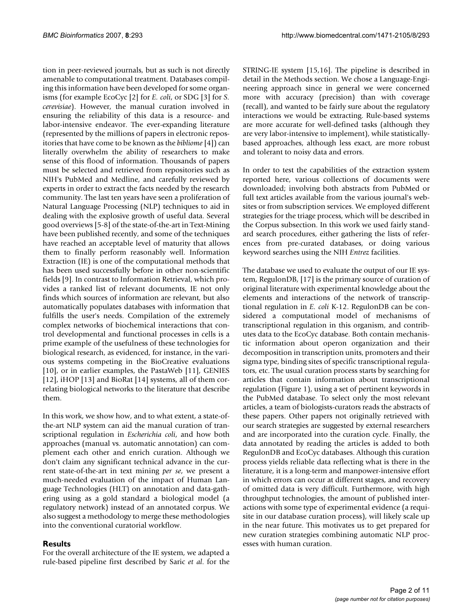tion in peer-reviewed journals, but as such is not directly amenable to computational treatment. Databases compiling this information have been developed for some organisms (for example EcoCyc [2] for *E. coli*, or SDG [3] for *S. cerevisiae*). However, the manual curation involved in ensuring the reliability of this data is a resource- and labor-intensive endeavor. The ever-expanding literature (represented by the millions of papers in electronic repositories that have come to be known as the *bibliome* [4]) can literally overwhelm the ability of researchers to make sense of this flood of information. Thousands of papers must be selected and retrieved from repositories such as NIH's PubMed and Medline, and carefully reviewed by experts in order to extract the facts needed by the research community. The last ten years have seen a proliferation of Natural Language Processing (NLP) techniques to aid in dealing with the explosive growth of useful data. Several good overviews [5-8] of the state-of-the-art in Text-Mining have been published recently, and some of the techniques have reached an acceptable level of maturity that allows them to finally perform reasonably well. Information Extraction (IE) is one of the computational methods that has been used successfully before in other non-scientific fields [9]. In contrast to Information Retrieval, which provides a ranked list of relevant documents, IE not only finds which sources of information are relevant, but also automatically populates databases with information that fulfills the user's needs. Compilation of the extremely complex networks of biochemical interactions that control developmental and functional processes in cells is a prime example of the usefulness of these technologies for biological research, as evidenced, for instance, in the various systems competing in the BioCreative evaluations [10], or in earlier examples, the PastaWeb [11], GENIES [12], iHOP [13] and BioRat [14] systems, all of them correlating biological networks to the literature that describe them.

In this work, we show how, and to what extent, a state-ofthe-art NLP system can aid the manual curation of transcriptional regulation in *Escherichia coli*, and how both approaches (manual vs. automatic annotation) can complement each other and enrich curation. Although we don't claim any significant technical advance in the current state-of-the-art in text mining *per se*, we present a much-needed evaluation of the impact of Human Language Technologies (HLT) on annotation and data-gathering using as a gold standard a biological model (a regulatory network) instead of an annotated corpus. We also suggest a methodology to merge these methodologies into the conventional curatorial workflow.

# **Results**

For the overall architecture of the IE system, we adapted a rule-based pipeline first described by Saric *et al*. for the STRING-IE system [15,16]. The pipeline is described in detail in the Methods section. We chose a Language-Engineering approach since in general we were concerned more with accuracy (precision) than with coverage (recall), and wanted to be fairly sure about the regulatory interactions we would be extracting. Rule-based systems are more accurate for well-defined tasks (although they are very labor-intensive to implement), while statisticallybased approaches, although less exact, are more robust and tolerant to noisy data and errors.

In order to test the capabilities of the extraction system reported here, various collections of documents were downloaded; involving both abstracts from PubMed or full text articles available from the various journal's websites or from subscription services. We employed different strategies for the triage process, which will be described in the Corpus subsection. In this work we used fairly standard search procedures, either gathering the lists of references from pre-curated databases, or doing various keyword searches using the NIH *Entrez* facilities.

The database we used to evaluate the output of our IE system, RegulonDB, [17] is the primary source of curation of original literature with experimental knowledge about the elements and interactions of the network of transcriptional regulation in *E. coli* K-12. RegulonDB can be considered a computational model of mechanisms of transcriptional regulation in this organism, and contributes data to the EcoCyc database. Both contain mechanistic information about operon organization and their decomposition in transcription units, promoters and their sigma type, binding sites of specific transcriptional regulators, etc. The usual curation process starts by searching for articles that contain information about transcriptional regulation (Figure 1), using a set of pertinent keywords in the PubMed database. To select only the most relevant articles, a team of biologists-curators reads the abstracts of these papers. Other papers not originally retrieved with our search strategies are suggested by external researchers and are incorporated into the curation cycle. Finally, the data annotated by reading the articles is added to both RegulonDB and EcoCyc databases. Although this curation process yields reliable data reflecting what is there in the literature, it is a long-term and manpower-intensive effort in which errors can occur at different stages, and recovery of omitted data is very difficult. Furthermore, with high throughput technologies, the amount of published interactions with some type of experimental evidence (a requisite in our database curation process), will likely scale up in the near future. This motivates us to get prepared for new curation strategies combining automatic NLP processes with human curation.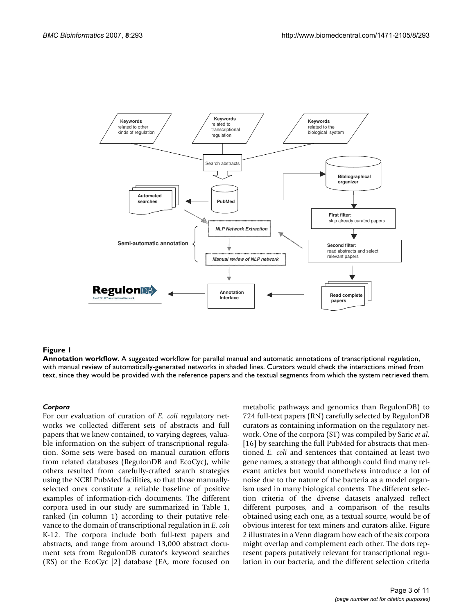

## **Figure 1**

**Annotation workflow**. A suggested workflow for parallel manual and automatic annotations of transcriptional regulation, with manual review of automatically-generated networks in shaded lines. Curators would check the interactions mined from text, since they would be provided with the reference papers and the textual segments from which the system retrieved them.

#### *Corpora*

For our evaluation of curation of *E. coli* regulatory networks we collected different sets of abstracts and full papers that we knew contained, to varying degrees, valuable information on the subject of transcriptional regulation. Some sets were based on manual curation efforts from related databases (RegulonDB and EcoCyc), while others resulted from carefully-crafted search strategies using the NCBI PubMed facilities, so that those manuallyselected ones constitute a reliable baseline of positive examples of information-rich documents. The different corpora used in our study are summarized in Table 1, ranked (in column 1) according to their putative relevance to the domain of transcriptional regulation in *E. coli* K-12. The corpora include both full-text papers and abstracts, and range from around 13,000 abstract document sets from RegulonDB curator's keyword searches (RS) or the EcoCyc [2] database (EA, more focused on

metabolic pathways and genomics than RegulonDB) to 724 full-text papers (RN) carefully selected by RegulonDB curators as containing information on the regulatory network. One of the corpora (ST) was compiled by Saric *et al*. [16] by searching the full PubMed for abstracts that mentioned *E. coli* and sentences that contained at least two gene names, a strategy that although could find many relevant articles but would nonetheless introduce a lot of noise due to the nature of the bacteria as a model organism used in many biological contexts. The different selection criteria of the diverse datasets analyzed reflect different purposes, and a comparison of the results obtained using each one, as a textual source, would be of obvious interest for text miners and curators alike. Figure 2 illustrates in a Venn diagram how each of the six corpora might overlap and complement each other. The dots represent papers putatively relevant for transcriptional regulation in our bacteria, and the different selection criteria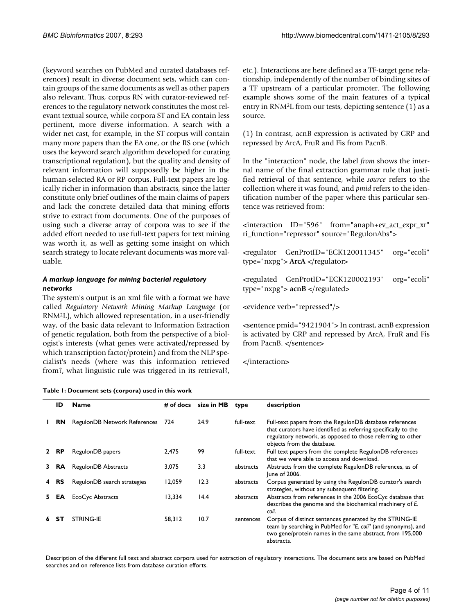(keyword searches on PubMed and curated databases references) result in diverse document sets, which can contain groups of the same documents as well as other papers also relevant. Thus, corpus RN with curator-reviewed references to the regulatory network constitutes the most relevant textual source, while corpora ST and EA contain less pertinent, more diverse information. A search with a wider net cast, for example, in the ST corpus will contain many more papers than the EA one, or the RS one (which uses the keyword search algorithm developed for curating transcriptional regulation), but the quality and density of relevant information will supposedly be higher in the human-selected RA or RP corpus. Full-text papers are logically richer in information than abstracts, since the latter constitute only brief outlines of the main claims of papers and lack the concrete detailed data that mining efforts strive to extract from documents. One of the purposes of using such a diverse array of corpora was to see if the added effort needed to use full-text papers for text mining was worth it, as well as getting some insight on which search strategy to locate relevant documents was more valuable.

# *A markup language for mining bacterial regulatory networks*

The system's output is an xml file with a format we have called *Regulatory Network Mining Markup Language* (or RNM2L), which allowed representation, in a user-friendly way, of the basic data relevant to Information Extraction of genetic regulation, both from the perspective of a biologist's interests (what genes were activated/repressed by which transcription factor/protein) and from the NLP specialist's needs (where was this information retrieved from?, what linguistic rule was triggered in its retrieval?,

etc.). Interactions are here defined as a TF-target gene relationship, independently of the number of binding sites of a TF upstream of a particular promoter. The following example shows some of the main features of a typical entry in RNM2L from our tests, depicting sentence (1) as a source.

(1) In contrast, acnB expression is activated by CRP and repressed by ArcA, FruR and Fis from PacnB.

In the "interaction" node, the label *from* shows the internal name of the final extraction grammar rule that justified retrieval of that sentence, while *source* refers to the collection where it was found, and *pmid* refers to the identification number of the paper where this particular sentence was retrieved from:

<interaction ID="596" from="anaph+ev\_act\_expr\_xr" ri\_function="repressor" source="RegulonAbs">

<regulator GenProtID="ECK120011345" org="ecoli" type="nxpg"> **ArcA** </regulator>

<regulated GenProtID="ECK120002193" org="ecoli" type="nxpg"> acnB </regulated>

<evidence verb="repressed"/>

<sentence pmid="9421904"> In contrast, acnB expression is activated by CRP and repressed by ArcA, FruR and Fis from PacnB. </sentence>

</interaction>

|    | ID        | <b>Name</b>                  |        | $#$ of docs size in MB | type      | description                                                                                                                                                                                                           |
|----|-----------|------------------------------|--------|------------------------|-----------|-----------------------------------------------------------------------------------------------------------------------------------------------------------------------------------------------------------------------|
|    | <b>RN</b> | RegulonDB Network References | 724    | 24.9                   | full-text | Full-text papers from the RegulonDB database references<br>that curators have identified as referring specifically to the<br>regulatory network, as opposed to those referring to other<br>objects from the database. |
|    | <b>RP</b> | RegulonDB papers             | 2.475  | 99                     | full-text | Full text papers from the complete RegulonDB references<br>that we were able to access and download.                                                                                                                  |
| 3. | <b>RA</b> | RegulonDB Abstracts          | 3,075  | 3.3                    | abstracts | Abstracts from the complete RegulonDB references, as of<br>June of 2006.                                                                                                                                              |
| 4  | RS        | RegulonDB search strategies  | 12.059 | 12.3                   | abstracts | Corpus generated by using the RegulonDB curator's search<br>strategies, without any subsequent filtering.                                                                                                             |
|    | EΑ        | EcoCyc Abstracts             | 13.334 | 14.4                   | abstracts | Abstracts from references in the 2006 EcoCyc database that<br>describes the genome and the biochemical machinery of E.<br>coli.                                                                                       |
|    |           | STRING-IE                    | 58.312 | 10.7                   | sentences | Corpus of distinct sentences generated by the STRING-IE<br>team by searching in PubMed for "E. coli" (and synonyms), and<br>two gene/protein names in the same abstract, from 195,000<br>abstracts.                   |

Description of the different full text and abstract corpora used for extraction of regulatory interactions. The document sets are based on PubMed searches and on reference lists from database curation efforts.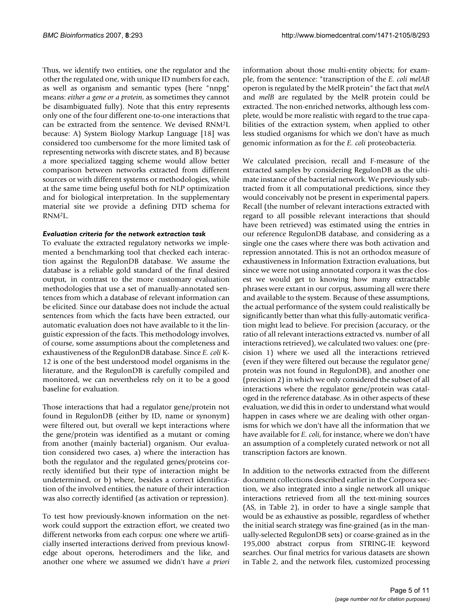Thus, we identify two entities, one the regulator and the other the regulated one, with unique ID numbers for each, as well as organism and semantic types (here "nnpg" means: *either a gene or a protein*, as sometimes they cannot be disambiguated fully). Note that this entry represents only one of the four different one-to-one interactions that can be extracted from the sentence. We devised RNM2L because: A) System Biology Markup Language [18] was considered too cumbersome for the more limited task of representing networks with discrete states, and B) because a more specialized tagging scheme would allow better comparison between networks extracted from different sources or with different systems or methodologies, while at the same time being useful both for NLP optimization and for biological interpretation. In the supplementary material site we provide a defining DTD schema for RNM2L.

# *Evaluation criteria for the network extraction task*

To evaluate the extracted regulatory networks we implemented a benchmarking tool that checked each interaction against the RegulonDB database. We assume the database is a reliable gold standard of the final desired output, in contrast to the more customary evaluation methodologies that use a set of manually-annotated sentences from which a database of relevant information can be elicited. Since our database does not include the actual sentences from which the facts have been extracted, our automatic evaluation does not have available to it the linguistic expression of the facts. This methodology involves, of course, some assumptions about the completeness and exhaustiveness of the RegulonDB database. Since *E. coli* K-12 is one of the best understood model organisms in the literature, and the RegulonDB is carefully compiled and monitored, we can nevertheless rely on it to be a good baseline for evaluation.

Those interactions that had a regulator gene/protein not found in RegulonDB (either by ID, name or synonym) were filtered out, but overall we kept interactions where the gene/protein was identified as a mutant or coming from another (mainly bacterial) organism. Our evaluation considered two cases, a) where the interaction has both the regulator and the regulated genes/proteins correctly identified but their type of interaction might be undetermined, or b) where, besides a correct identification of the involved entities, the nature of their interaction was also correctly identified (as activation or repression).

To test how previously-known information on the network could support the extraction effort, we created two different networks from each corpus: one where we artificially inserted interactions derived from previous knowledge about operons, heterodimers and the like, and another one where we assumed we didn't have *a priori* information about those multi-entity objects; for example, from the sentence: "transcription of the *E. coli melAB* operon is regulated by the MelR protein" the fact that *melA* and *melB* are regulated by the MelR protein could be extracted. The non-enriched networks, although less complete, would be more realistic with regard to the true capabilities of the extraction system, when applied to other less studied organisms for which we don't have as much genomic information as for the *E. coli* proteobacteria.

We calculated precision, recall and F-measure of the extracted samples by considering RegulonDB as the ultimate instance of the bacterial network. We previously subtracted from it all computational predictions, since they would conceivably not be present in experimental papers. Recall (the number of relevant interactions extracted with regard to all possible relevant interactions that should have been retrieved) was estimated using the entries in our reference RegulonDB database, and considering as a single one the cases where there was both activation and repression annotated. This is not an orthodox measure of exhaustiveness in Information Extraction evaluations, but since we were not using annotated corpora it was the closest we would get to knowing how many extractable phrases were extant in our corpus, assuming all were there and available to the system. Because of these assumptions, the actual performance of the system could realistically be significantly better than what this fully-automatic verification might lead to believe. For precision (accuracy, or the ratio of all relevant interactions extracted vs. number of all interactions retrieved), we calculated two values: one (precision 1) where we used all the interactions retrieved (even if they were filtered out because the regulator gene/ protein was not found in RegulonDB), and another one (precision 2) in which we only considered the subset of all interactions where the regulator gene/protein was cataloged in the reference database. As in other aspects of these evaluation, we did this in order to understand what would happen in cases where we are dealing with other organisms for which we don't have all the information that we have available for *E. coli*, for instance, where we don't have an assumption of a completely curated network or not all transcription factors are known.

In addition to the networks extracted from the different document collections described earlier in the Corpora section, we also integrated into a single network all unique interactions retrieved from all the text-mining sources (AS, in Table 2), in order to have a single sample that would be as exhaustive as possible, regardless of whether the initial search strategy was fine-grained (as in the manually-selected RegulonDB sets) or coarse-grained as in the 195,000 abstract corpus from STRING-IE keyword searches. Our final metrics for various datasets are shown in Table 2, and the network files, customized processing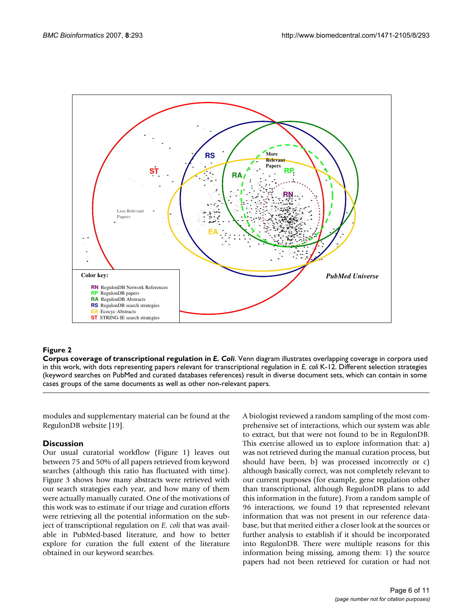

# Figure 2

**Corpus coverage of transcriptional regulation in** *E. Coli*. Venn diagram illustrates overlapping coverage in corpora used in this work, with dots representing papers relevant for transcriptional regulation in *E. coli* K-12. Different selection strategies (keyword searches on PubMed and curated databases references) result in diverse document sets, which can contain in some cases groups of the same documents as well as other non-relevant papers.

modules and supplementary material can be found at the RegulonDB website [19].

# **Discussion**

Our usual curatorial workflow (Figure 1) leaves out between 75 and 50% of all papers retrieved from keyword searches (although this ratio has fluctuated with time). Figure 3 shows how many abstracts were retrieved with our search strategies each year, and how many of them were actually manually curated. One of the motivations of this work was to estimate if our triage and curation efforts were retrieving all the potential information on the subject of transcriptional regulation on *E. coli* that was available in PubMed-based literature, and how to better explore for curation the full extent of the literature obtained in our keyword searches.

A biologist reviewed a random sampling of the most comprehensive set of interactions, which our system was able to extract, but that were not found to be in RegulonDB. This exercise allowed us to explore information that: a) was not retrieved during the manual curation process, but should have been, b) was processed incorrectly or c) although basically correct, was not completely relevant to our current purposes (for example, gene regulation other than transcriptional, although RegulonDB plans to add this information in the future). From a random sample of 96 interactions, we found 19 that represented relevant information that was not present in our reference database, but that merited either a closer look at the sources or further analysis to establish if it should be incorporated into RegulonDB. There were multiple reasons for this information being missing, among them: 1) the source papers had not been retrieved for curation or had not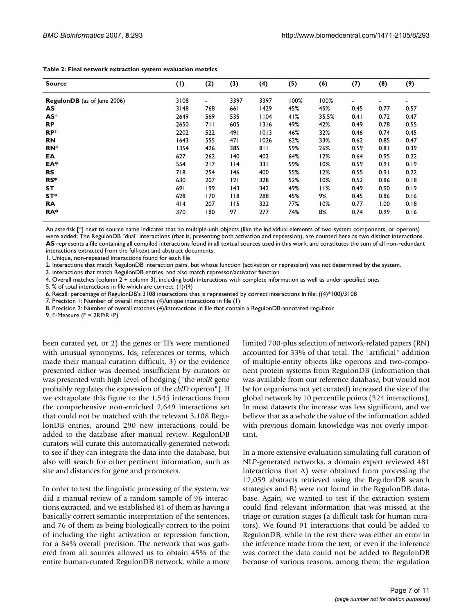| <b>Source</b>                      | (1)  | (2) | (3)  | (4)  | (5)  | (6)   | (7)  | (8)  | (9)  |
|------------------------------------|------|-----|------|------|------|-------|------|------|------|
| <b>RegulonDB</b> (as of June 2006) | 3108 | ٠   | 3397 | 3397 | 100% | 100%  |      |      |      |
| <b>AS</b>                          | 3148 | 768 | 661  | 1429 | 45%  | 45%   | 0.45 | 0.77 | 0.57 |
| AS*                                | 2649 | 569 | 535  | 1104 | 41%  | 35.5% | 0.41 | 0.72 | 0.47 |
| <b>RP</b>                          | 2650 | 711 | 605  | 1316 | 49%  | 42%   | 0.49 | 0.78 | 0.55 |
| $RP^*$                             | 2202 | 522 | 491  | 1013 | 46%  | 32%   | 0.46 | 0.74 | 0.45 |
| <b>RN</b>                          | 1643 | 555 | 471  | 1026 | 62%  | 33%   | 0.62 | 0.85 | 0.47 |
| $RN^*$                             | 1354 | 426 | 385  | 811  | 59%  | 26%   | 0.59 | 0.81 | 0.39 |
| EA                                 | 627  | 262 | 140  | 402  | 64%  | 12%   | 0.64 | 0.95 | 0.22 |
| EA*                                | 554  | 217 | 14   | 331  | 59%  | 10%   | 0.59 | 0.91 | 0.19 |
| <b>RS</b>                          | 718  | 254 | 146  | 400  | 55%  | 12%   | 0.55 | 0.91 | 0.22 |
| RS*                                | 630  | 207 | 2    | 328  | 52%  | 10%   | 0.52 | 0.86 | 0.18 |
| ST                                 | 691  | 199 | 143  | 342  | 49%  | l I%  | 0.49 | 0.90 | 0.19 |
| $ST*$                              | 628  | 170 | I 18 | 288  | 45%  | 9%    | 0.45 | 0.86 | 0.16 |
| RA                                 | 414  | 207 | 115  | 322  | 77%  | 10%   | 0.77 | 1.00 | 0.18 |
| RA*                                | 370  | 180 | 97   | 277  | 74%  | 8%    | 0.74 | 0.99 | 0.16 |

**Table 2: Final network extraction system evaluation metrics**

An asterisk [\*] next to source name indicates that no multiple-unit objects (like the individual elements of two-system components, or operons) were added; The RegulonDB "dual" interactions (that is, presenting both activation and repression), are counted here as two distinct interactions. **AS** represents a file containing all compiled interactions found in all textual sources used in this work, and constitutes the sum of all non-redundant interactions extracted from the full-text and abstract documents.

1. Unique, non-repeated interactions found for each file

2. Interactions that match RegulonDB interaction pairs, but whose function (activation or repression) was not determined by the system.

3. Interactions that match RegulonDB entries, and also match repressor/activator function

4. Overall matches (column 2 + column 3), including both interactions with complete information as well as under specified ones

5. % of total interactions in file which are correct: (1)/(4)

6. Recall: percentage of RegulonDB's 3108 interactions that is represented by correct interactions in file: ((4)\*100)/3108

7. Precision 1: Number of overall matches (4)/unique interactions in file (1)

8. Precision 2: Number of overall matches (4)/interactions in file that contain a RegulonDB-annotated regulator

9. F-Measure (F = 2RP/R+P)

been curated yet, or 2) the genes or TFs were mentioned with unusual synonyms, Ids, references or terms, which made their manual curation difficult, 3) or the evidence presented either was deemed insufficient by curators or was presented with high level of hedging ("the *molR* gene probably regulates the expression of the *chlD* operon"). If we extrapolate this figure to the 1,545 interactions from the comprehensive non-enriched 2,649 interactions set that could not be matched with the relevant 3,108 RegulonDB entries, around 290 new interactions could be added to the database after manual review. RegulonDB curators will curate this automatically-generated network to see if they can integrate the data into the database, but also will search for other pertinent information, such as site and distances for gene and promoters.

In order to test the linguistic processing of the system, we did a manual review of a random sample of 96 interactions extracted, and we established 81 of them as having a basically correct semantic interpretation of the sentences, and 76 of them as being biologically correct to the point of including the right activation or repression function, for a 84% overall precision. The network that was gathered from all sources allowed us to obtain 45% of the entire human-curated RegulonDB network, while a more limited 700-plus selection of network-related papers (RN) accounted for 33% of that total. The "artificial" addition of multiple-entity objects like operons and two-component protein systems from RegulonDB (information that was available from our reference database, but would not be for organisms not yet curated) increased the size of the global network by 10 percentile points (324 interactions). In most datasets the increase was less significant, and we believe that as a whole the value of the information added with previous domain knowledge was not overly important.

In a more extensive evaluation simulating full curation of NLP-generated networks, a domain expert reviewed 481 interactions that A) were obtained from processing the 12,059 abstracts retrieved using the RegulonDB search strategies and B) were not found in the RegulonDB database. Again, we wanted to test if the extraction system could find relevant information that was missed at the triage or curation stages (a difficult task for human curators). We found 91 interactions that could be added to RegulonDB, while in the rest there was either an error in the inference made from the text, or even if the inference was correct the data could not be added to RegulonDB because of various reasons, among them: the regulation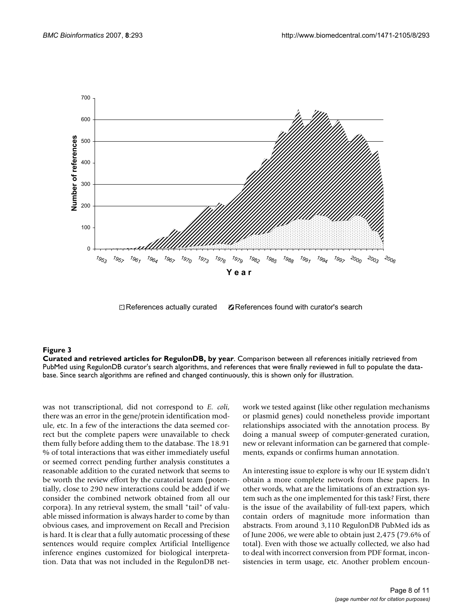

 $\Box$  References actually curated  $Z$  References found with curator's search

### Figure 3

**Curated and retrieved articles for RegulonDB, by year**. Comparison between all references initially retrieved from PubMed using RegulonDB curator's search algorithms, and references that were finally reviewed in full to populate the database. Since search algorithms are refined and changed continuously, this is shown only for illustration.

was not transcriptional, did not correspond to *E. coli*, there was an error in the gene/protein identification module, etc. In a few of the interactions the data seemed correct but the complete papers were unavailable to check them fully before adding them to the database. The 18.91 % of total interactions that was either immediately useful or seemed correct pending further analysis constitutes a reasonable addition to the curated network that seems to be worth the review effort by the curatorial team (potentially, close to 290 new interactions could be added if we consider the combined network obtained from all our corpora). In any retrieval system, the small "tail" of valuable missed information is always harder to come by than obvious cases, and improvement on Recall and Precision is hard. It is clear that a fully automatic processing of these sentences would require complex Artificial Intelligence inference engines customized for biological interpretation. Data that was not included in the RegulonDB network we tested against (like other regulation mechanisms or plasmid genes) could nonetheless provide important relationships associated with the annotation process. By doing a manual sweep of computer-generated curation, new or relevant information can be garnered that complements, expands or confirms human annotation.

An interesting issue to explore is why our IE system didn't obtain a more complete network from these papers. In other words, what are the limitations of an extraction system such as the one implemented for this task? First, there is the issue of the availability of full-text papers, which contain orders of magnitude more information than abstracts. From around 3,110 RegulonDB PubMed ids as of June 2006, we were able to obtain just 2,475 (79.6% of total). Even with those we actually collected, we also had to deal with incorrect conversion from PDF format, inconsistencies in term usage, etc. Another problem encoun-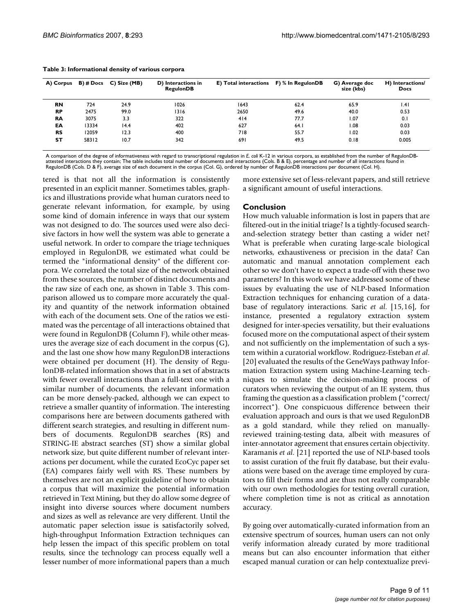| A) Corpus | B) # Docs | C) Size (MB) | D) Interactions in<br><b>RegulonDB</b> | E) Total interactions | F) % In RegulonDB | G) Average doc<br>size (kbs) | H) Interactions/<br><b>Docs</b> |
|-----------|-----------|--------------|----------------------------------------|-----------------------|-------------------|------------------------------|---------------------------------|
| <b>RN</b> | 724       | 24.9         | 1026                                   | 1643                  | 62.4              | 65.9                         | .4                              |
| <b>RP</b> | 2475      | 99.0         | 1316                                   | 2650                  | 49.6              | 40.0                         | 0.53                            |
| RA        | 3075      | 3.3          | 322                                    | 414                   | 77.7              | 1.07                         | 0.1                             |
| EA        | 13334     | 14.4         | 402                                    | 627                   | 64.1              | 0.1                          | 0.03                            |
| RS        | 12059     | 12.3         | 400                                    | 718                   | 55.7              | 1.02                         | 0.03                            |
| SΤ        | 58312     | 10.7         | 342                                    | 691                   | 49.5              | 0.18                         | 0.005                           |

#### **Table 3: Informational density of various corpora**

A comparison of the degree of informativeness with regard to transcriptional regulation in E. coli K-12 in various corpora, as established from the number of RegulonDB-<br>attested interactions they contain; The table include RegulonDB (Cols. D & F), average size of each document in the corpus (Col. G), ordered by number of RegulonDB interactions per document (Col. H).

tered is that not all the information is consistently presented in an explicit manner. Sometimes tables, graphics and illustrations provide what human curators need to generate relevant information, for example, by using some kind of domain inference in ways that our system was not designed to do. The sources used were also decisive factors in how well the system was able to generate a useful network. In order to compare the triage techniques employed in RegulonDB, we estimated what could be termed the "informational density" of the different corpora. We correlated the total size of the network obtained from these sources, the number of distinct documents and the raw size of each one, as shown in Table 3. This comparison allowed us to compare more accurately the quality and quantity of the network information obtained with each of the document sets. One of the ratios we estimated was the percentage of all interactions obtained that were found in RegulonDB (Column F), while other measures the average size of each document in the corpus (G), and the last one show how many RegulonDB interactions were obtained per document (H). The density of RegulonDB-related information shows that in a set of abstracts with fewer overall interactions than a full-text one with a similar number of documents, the relevant information can be more densely-packed, although we can expect to retrieve a smaller quantity of information. The interesting comparisons here are between documents gathered with different search strategies, and resulting in different numbers of documents. RegulonDB searches (RS) and STRING-IE abstract searches (ST) show a similar global network size, but quite different number of relevant interactions per document, while the curated EcoCyc paper set (EA) compares fairly well with RS. These numbers by themselves are not an explicit guideline of how to obtain a corpus that will maximize the potential information retrieved in Text Mining, but they do allow some degree of insight into diverse sources where document numbers and sizes as well as relevance are very different. Until the automatic paper selection issue is satisfactorily solved, high-throughput Information Extraction techniques can help lessen the impact of this specific problem on total results, since the technology can process equally well a lesser number of more informational papers than a much

more extensive set of less-relevant papers, and still retrieve a significant amount of useful interactions.

#### **Conclusion**

How much valuable information is lost in papers that are filtered-out in the initial triage? Is a tightly-focused searchand-selection strategy better than casting a wider net? What is preferable when curating large-scale biological networks, exhaustiveness or precision in the data? Can automatic and manual annotation complement each other so we don't have to expect a trade-off with these two parameters? In this work we have addressed some of these issues by evaluating the use of NLP-based Information Extraction techniques for enhancing curation of a database of regulatory interactions. Saric *et al*. [15,16], for instance, presented a regulatory extraction system designed for inter-species versatility, but their evaluations focused more on the computational aspect of their system and not sufficiently on the implementation of such a system within a curatorial workflow. Rodriguez-Esteban *et al*. [20] evaluated the results of the GeneWays pathway Information Extraction system using Machine-Learning techniques to simulate the decision-making process of curators when reviewing the output of an IE system, thus framing the question as a classification problem ("correct/ incorrect"). One conspicuous difference between their evaluation approach and ours is that we used RegulonDB as a gold standard, while they relied on manuallyreviewed training-testing data, albeit with measures of inter-annotator agreement that ensures certain objectivity. Karamanis *et al*. [21] reported the use of NLP-based tools to assist curation of the fruit fly database, but their evaluations were based on the average time employed by curators to fill their forms and are thus not really comparable with our own methodologies for testing overall curation, where completion time is not as critical as annotation accuracy.

By going over automatically-curated information from an extensive spectrum of sources, human users can not only verify information already curated by more traditional means but can also encounter information that either escaped manual curation or can help contextualize previ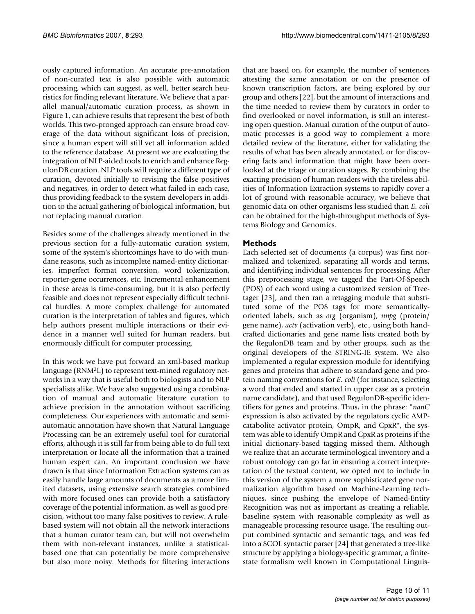ously captured information. An accurate pre-annotation of non-curated text is also possible with automatic processing, which can suggest, as well, better search heuristics for finding relevant literature. We believe that a parallel manual/automatic curation process, as shown in Figure 1, can achieve results that represent the best of both worlds. This two-pronged approach can ensure broad coverage of the data without significant loss of precision, since a human expert will still vet all information added to the reference database. At present we are evaluating the integration of NLP-aided tools to enrich and enhance RegulonDB curation. NLP tools will require a different type of curation, devoted initially to revising the false positives and negatives, in order to detect what failed in each case, thus providing feedback to the system developers in addition to the actual gathering of biological information, but not replacing manual curation.

Besides some of the challenges already mentioned in the previous section for a fully-automatic curation system, some of the system's shortcomings have to do with mundane reasons, such as incomplete named-entity dictionaries, imperfect format conversion, word tokenization, reporter-gene occurrences, etc. Incremental enhancement in these areas is time-consuming, but it is also perfectly feasible and does not represent especially difficult technical hurdles. A more complex challenge for automated curation is the interpretation of tables and figures, which help authors present multiple interactions or their evidence in a manner well suited for human readers, but enormously difficult for computer processing.

In this work we have put forward an xml-based markup language (RNM2L) to represent text-mined regulatory networks in a way that is useful both to biologists and to NLP specialists alike. We have also suggested using a combination of manual and automatic literature curation to achieve precision in the annotation without sacrificing completeness. Our experiences with automatic and semiautomatic annotation have shown that Natural Language Processing can be an extremely useful tool for curatorial efforts, although it is still far from being able to do full text interpretation or locate all the information that a trained human expert can. An important conclusion we have drawn is that since Information Extraction systems can as easily handle large amounts of documents as a more limited datasets, using extensive search strategies combined with more focused ones can provide both a satisfactory coverage of the potential information, as well as good precision, without too many false positives to review. A rulebased system will not obtain all the network interactions that a human curator team can, but will not overwhelm them with non-relevant instances, unlike a statisticalbased one that can potentially be more comprehensive but also more noisy. Methods for filtering interactions

that are based on, for example, the number of sentences attesting the same annotation or on the presence of known transcription factors, are being explored by our group and others [22], but the amount of interactions and the time needed to review them by curators in order to find overlooked or novel information, is still an interesting open question. Manual curation of the output of automatic processes is a good way to complement a more detailed review of the literature, either for validating the results of what has been already annotated, or for discovering facts and information that might have been overlooked at the triage or curation stages. By combining the exacting precision of human readers with the tireless abilities of Information Extraction systems to rapidly cover a lot of ground with reasonable accuracy, we believe that genomic data on other organisms less studied than *E. coli* can be obtained for the high-throughput methods of Systems Biology and Genomics.

# **Methods**

Each selected set of documents (a corpus) was first normalized and tokenized, separating all words and terms, and identifying individual sentences for processing. After this preprocessing stage, we tagged the Part-Of-Speech (POS) of each word using a customized version of Treetager [23], and then ran a retagging module that substituted some of the POS tags for more semanticallyoriented labels, such as *org* (organism), *nnpg* (protein/ gene name), *actv* (activation verb), etc., using both handcrafted dictionaries and gene name lists created both by the RegulonDB team and by other groups, such as the original developers of the STRING-IE system. We also implemented a regular expression module for identifying genes and proteins that adhere to standard gene and protein naming conventions for *E. coli* (for instance, selecting a word that ended and started in upper case as a protein name candidate), and that used RegulonDB-specific identifiers for genes and proteins. Thus, in the phrase: "*nanC* expression is also activated by the regulators cyclic AMPcatabolite activator protein, OmpR, and CpxR", the system was able to identify OmpR and CpxR as proteins if the initial dictionary-based tagging missed them. Although we realize that an accurate terminological inventory and a robust ontology can go far in ensuring a correct interpretation of the textual content, we opted not to include in this version of the system a more sophisticated gene normalization algorithm based on Machine-Learning techniques, since pushing the envelope of Named-Entity Recognition was not as important as creating a reliable, baseline system with reasonable complexity as well as manageable processing resource usage. The resulting output combined syntactic and semantic tags, and was fed into a SCOL syntactic parser [24] that generated a tree-like structure by applying a biology-specific grammar, a finitestate formalism well known in Computational Linguis